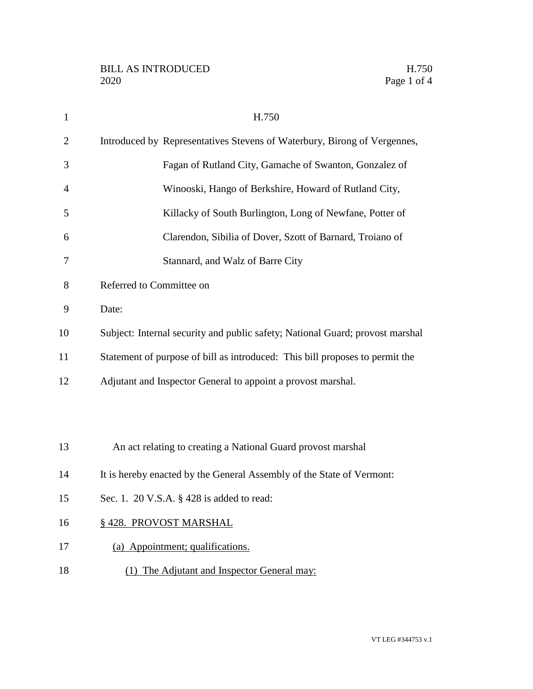| $\mathbf{1}$   | H.750                                                                         |
|----------------|-------------------------------------------------------------------------------|
| $\overline{2}$ | Introduced by Representatives Stevens of Waterbury, Birong of Vergennes,      |
| 3              | Fagan of Rutland City, Gamache of Swanton, Gonzalez of                        |
| 4              | Winooski, Hango of Berkshire, Howard of Rutland City,                         |
| 5              | Killacky of South Burlington, Long of Newfane, Potter of                      |
| 6              | Clarendon, Sibilia of Dover, Szott of Barnard, Troiano of                     |
| 7              | Stannard, and Walz of Barre City                                              |
| 8              | Referred to Committee on                                                      |
| 9              | Date:                                                                         |
| 10             | Subject: Internal security and public safety; National Guard; provost marshal |
| 11             | Statement of purpose of bill as introduced: This bill proposes to permit the  |
| 12             | Adjutant and Inspector General to appoint a provost marshal.                  |
|                |                                                                               |
|                |                                                                               |
| 13             | An act relating to creating a National Guard provost marshal                  |
| 14             | It is hereby enacted by the General Assembly of the State of Vermont:         |
| 15             | Sec. 1. 20 V.S.A. $\S$ 428 is added to read:                                  |
| 16             | § 428. PROVOST MARSHAL                                                        |
| 17             | (a) Appointment; qualifications.                                              |
| 18             | (1) The Adjutant and Inspector General may:                                   |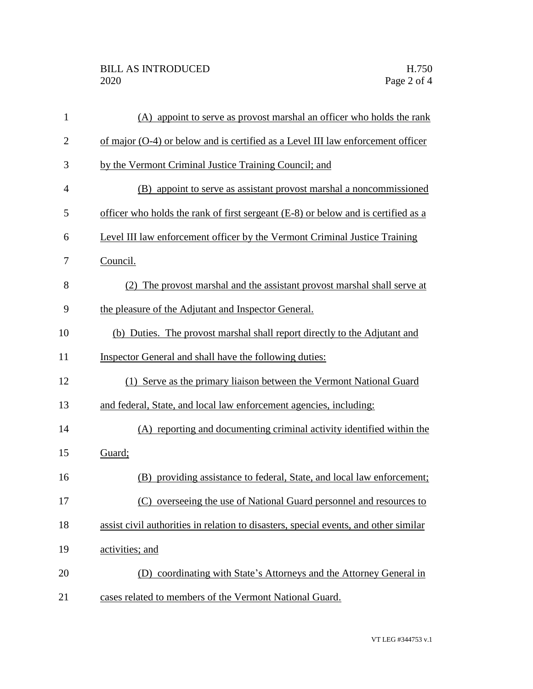| $\mathbf{1}$   | (A) appoint to serve as provost marshal an officer who holds the rank                |
|----------------|--------------------------------------------------------------------------------------|
| $\overline{2}$ | of major (O-4) or below and is certified as a Level III law enforcement officer      |
| 3              | by the Vermont Criminal Justice Training Council; and                                |
| 4              | (B) appoint to serve as assistant provost marshal a noncommissioned                  |
| 5              | officer who holds the rank of first sergeant (E-8) or below and is certified as a    |
| 6              | Level III law enforcement officer by the Vermont Criminal Justice Training           |
| 7              | Council.                                                                             |
| 8              | (2) The provost marshal and the assistant provost marshal shall serve at             |
| 9              | the pleasure of the Adjutant and Inspector General.                                  |
| 10             | (b) Duties. The provost marshal shall report directly to the Adjutant and            |
| 11             | Inspector General and shall have the following duties:                               |
| 12             | (1) Serve as the primary liaison between the Vermont National Guard                  |
| 13             | and federal, State, and local law enforcement agencies, including:                   |
| 14             | (A) reporting and documenting criminal activity identified within the                |
| 15             | Guard;                                                                               |
| 16             | (B) providing assistance to federal, State, and local law enforcement;               |
| 17             | (C) overseeing the use of National Guard personnel and resources to                  |
| 18             | assist civil authorities in relation to disasters, special events, and other similar |
| 19             | activities; and                                                                      |
| 20             | (D) coordinating with State's Attorneys and the Attorney General in                  |
| 21             | cases related to members of the Vermont National Guard.                              |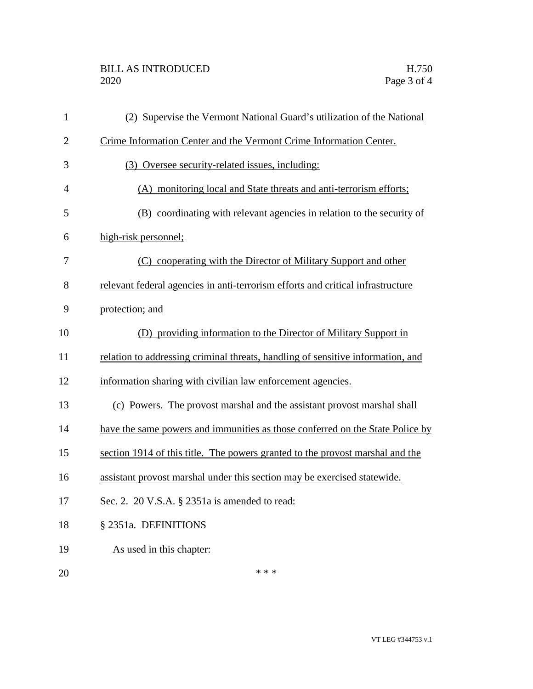| $\mathbf{1}$   | (2) Supervise the Vermont National Guard's utilization of the National          |
|----------------|---------------------------------------------------------------------------------|
| $\overline{2}$ | Crime Information Center and the Vermont Crime Information Center.              |
| 3              | (3) Oversee security-related issues, including:                                 |
| $\overline{4}$ | (A) monitoring local and State threats and anti-terrorism efforts;              |
| 5              | (B) coordinating with relevant agencies in relation to the security of          |
| 6              | high-risk personnel;                                                            |
| 7              | (C) cooperating with the Director of Military Support and other                 |
| 8              | relevant federal agencies in anti-terrorism efforts and critical infrastructure |
| 9              | protection; and                                                                 |
| 10             | (D) providing information to the Director of Military Support in                |
| 11             | relation to addressing criminal threats, handling of sensitive information, and |
| 12             | information sharing with civilian law enforcement agencies.                     |
| 13             | (c) Powers. The provost marshal and the assistant provost marshal shall         |
| 14             | have the same powers and immunities as those conferred on the State Police by   |
| 15             | section 1914 of this title. The powers granted to the provost marshal and the   |
| 16             | assistant provost marshal under this section may be exercised statewide.        |
| 17             | Sec. 2. 20 V.S.A. § 2351a is amended to read:                                   |
| 18             | § 2351a. DEFINITIONS                                                            |
| 19             | As used in this chapter:                                                        |
| 20             | * * *                                                                           |